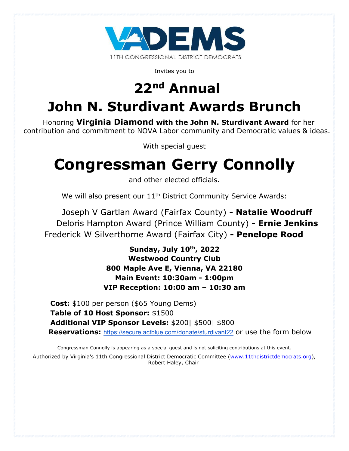

Invites you to

# **22nd Annual**

## **John N. Sturdivant Awards Brunch**

Honoring **Virginia Diamond with the John N. Sturdivant Award** for her contribution and commitment to NOVA Labor community and Democratic values & ideas.

With special guest

# **Congressman Gerry Connolly**

and other elected officials.

We will also present our 11<sup>th</sup> District Community Service Awards:

Joseph V Gartlan Award (Fairfax County) **- Natalie Woodruff** Deloris Hampton Award (Prince William County) **- Ernie Jenkins** Frederick W Silverthorne Award (Fairfax City) **- Penelope Rood**

> **Sunday, July 10th, 2022 Westwood Country Club 800 Maple Ave E, Vienna, VA 22180 Main Event: 10:30am - 1:00pm VIP Reception: 10:00 am – 10:30 am**

**Cost:** \$100 per person (\$65 Young Dems)  **Table of 10 Host Sponsor:** \$1500  **Additional VIP Sponsor Levels:** \$200| \$500| \$800 **Reservations:** <https://secure.actblue.com/donate/sturdivant22> or use the form below

Congressman Connolly is appearing as a special guest and is not soliciting contributions at this event.

Authorized by Virginia's 11th Congressional District Democratic Committee (www.11thdistrictdemocrats.org), Robert Haley, Chair